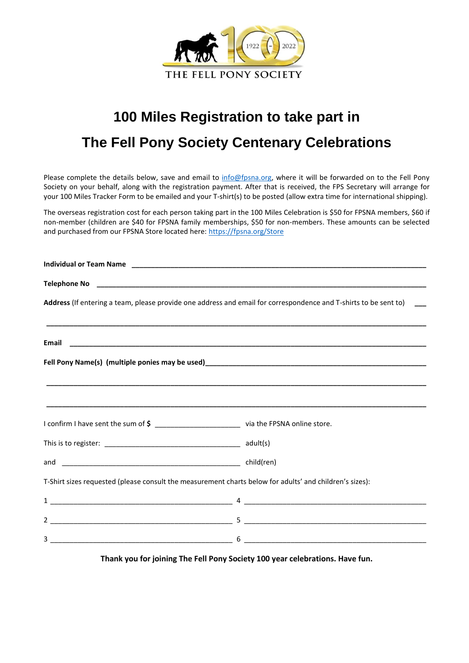

## **100 Miles Registration to take part in The Fell Pony Society Centenary Celebrations**

Please complete the details below, save and email to [info@fpsna.org,](mailto:info@fpsna.org) where it will be forwarded on to the Fell Pony Society on your behalf, along with the registration payment. After that is received, the FPS Secretary will arrange for your 100 Miles Tracker Form to be emailed and your T-shirt(s) to be posted (allow extra time for international shipping).

The overseas registration cost for each person taking part in the 100 Miles Celebration is \$50 for FPSNA members, \$60 if non-member (children are \$40 for FPSNA family memberships, \$50 for non-members. These amounts can be selected and purchased from our FPSNA Store located here:<https://fpsna.org/Store>

|                                                                                                         | Address (If entering a team, please provide one address and email for correspondence and T-shirts to be sent to) __<br>,我们也不能在这里的,我们也不能在这里的时候,我们也不能在这里的时候,我们也不能会不能在这里的时候,我们也不能会不能会不能会不能会不能会不能会不能会不能会不能会 |
|---------------------------------------------------------------------------------------------------------|---------------------------------------------------------------------------------------------------------------------------------------------------------------------------------------------------------|
|                                                                                                         |                                                                                                                                                                                                         |
|                                                                                                         |                                                                                                                                                                                                         |
|                                                                                                         |                                                                                                                                                                                                         |
| I confirm I have sent the sum of \$ _______________________________ via the FPSNA online store.         |                                                                                                                                                                                                         |
|                                                                                                         |                                                                                                                                                                                                         |
|                                                                                                         |                                                                                                                                                                                                         |
| T-Shirt sizes requested (please consult the measurement charts below for adults' and children's sizes): |                                                                                                                                                                                                         |
|                                                                                                         |                                                                                                                                                                                                         |
|                                                                                                         |                                                                                                                                                                                                         |
|                                                                                                         |                                                                                                                                                                                                         |

**Thank you for joining The Fell Pony Society 100 year celebrations. Have fun.**